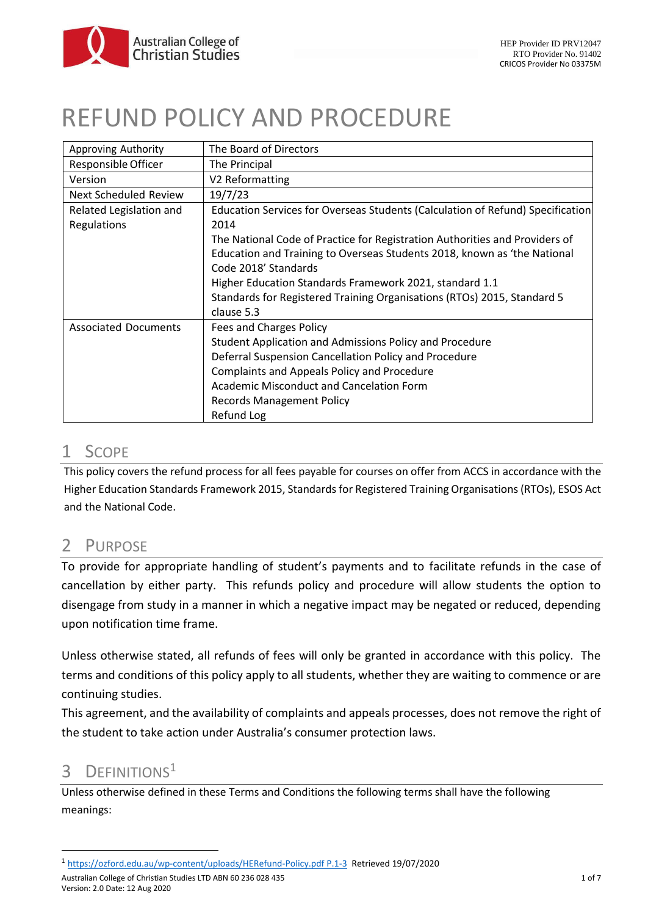# REFUND POLICY AND PROCEDURE

| Approving Authority         | The Board of Directors                                                         |
|-----------------------------|--------------------------------------------------------------------------------|
| Responsible Officer         | The Principal                                                                  |
| Version                     | V2 Reformatting                                                                |
| Next Scheduled Review       | 19/7/23                                                                        |
| Related Legislation and     | Education Services for Overseas Students (Calculation of Refund) Specification |
| Regulations                 | 2014                                                                           |
|                             | The National Code of Practice for Registration Authorities and Providers of    |
|                             | Education and Training to Overseas Students 2018, known as 'the National       |
|                             | Code 2018' Standards                                                           |
|                             | Higher Education Standards Framework 2021, standard 1.1                        |
|                             | Standards for Registered Training Organisations (RTOs) 2015, Standard 5        |
|                             | clause 5.3                                                                     |
| <b>Associated Documents</b> | Fees and Charges Policy                                                        |
|                             | Student Application and Admissions Policy and Procedure                        |
|                             | Deferral Suspension Cancellation Policy and Procedure                          |
|                             | Complaints and Appeals Policy and Procedure                                    |
|                             | Academic Misconduct and Cancelation Form                                       |
|                             | <b>Records Management Policy</b>                                               |
|                             | Refund Log                                                                     |

# 1 SCOPE

This policy covers the refund process for all fees payable for courses on offer from ACCS in accordance with the Higher Education Standards Framework 2015, Standards for Registered Training Organisations (RTOs), ESOS Act and the National Code.

# 2 PURPOSE

To provide for appropriate handling of student's payments and to facilitate refunds in the case of cancellation by either party. This refunds policy and procedure will allow students the option to disengage from study in a manner in which a negative impact may be negated or reduced, depending upon notification time frame.

Unless otherwise stated, all refunds of fees will only be granted in accordance with this policy. The terms and conditions of this policy apply to all students, whether they are waiting to commence or are continuing studies.

This agreement, and the availability of complaints and appeals processes, does not remove the right of the student to take action under Australia's consumer protection laws.

# 3 DEFINITIONS<sup>1</sup>

Unless otherwise defined in these Terms and Conditions the following terms shall have the following meanings:

<sup>1</sup> [https://ozford.edu.au/wp-content/uploads/HERefund-Policy.pdf P.1-3](https://ozford.edu.au/wp-content/uploads/HERefund-Policy.pdf%20P.1-3) Retrieved 19/07/2020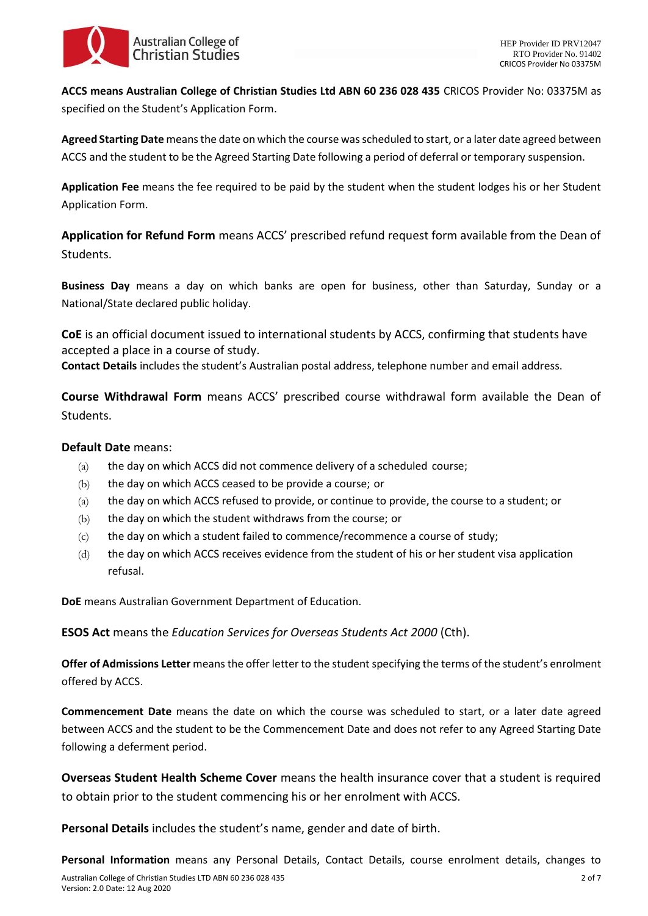

**ACCS means Australian College of Christian Studies Ltd ABN 60 236 028 435** CRICOS Provider No: 03375M as specified on the Student's Application Form.

**Agreed Starting Date** means the date on which the course was scheduled to start, or a later date agreed between ACCS and the student to be the Agreed Starting Date following a period of deferral or temporary suspension.

**Application Fee** means the fee required to be paid by the student when the student lodges his or her Student Application Form.

**Application for Refund Form** means ACCS' prescribed refund request form available from the Dean of Students.

**Business Day** means a day on which banks are open for business, other than Saturday, Sunday or a National/State declared public holiday.

**CoE** is an official document issued to international students by ACCS, confirming that students have accepted a place in a course of study.

**Contact Details** includes the student's Australian postal address, telephone number and email address.

**Course Withdrawal Form** means ACCS' prescribed course withdrawal form available the Dean of Students.

#### **Default Date** means:

- (a) the day on which ACCS did not commence delivery of a scheduled course;
- (b) the day on which ACCS ceased to be provide a course; or
- (a) the day on which ACCS refused to provide, or continue to provide, the course to a student; or
- (b) the day on which the student withdraws from the course; or
- (c) the day on which a student failed to commence/recommence a course of study;
- (d) the day on which ACCS receives evidence from the student of his or her student visa application refusal.

**DoE** means Australian Government Department of Education.

**ESOS Act** means the *Education Services for Overseas Students Act 2000* (Cth).

**Offer of Admissions Letter** means the offer letter to the student specifying the terms of the student's enrolment offered by ACCS.

**Commencement Date** means the date on which the course was scheduled to start, or a later date agreed between ACCS and the student to be the Commencement Date and does not refer to any Agreed Starting Date following a deferment period.

**Overseas Student Health Scheme Cover** means the health insurance cover that a student is required to obtain prior to the student commencing his or her enrolment with ACCS.

**Personal Details** includes the student's name, gender and date of birth.

**Personal Information** means any Personal Details, Contact Details, course enrolment details, changes to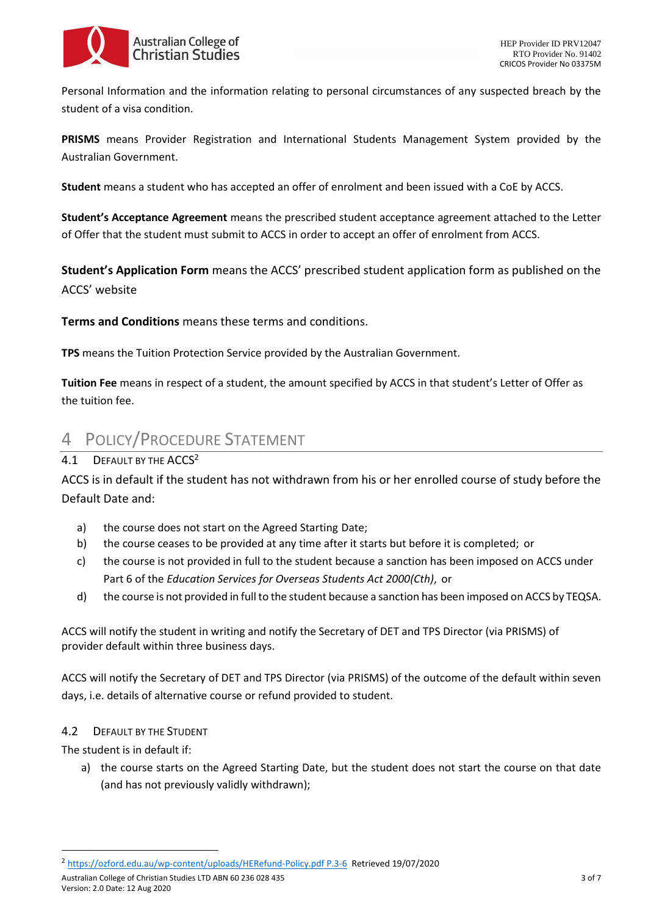

Personal Information and the information relating to personal circumstances of any suspected breach by the student of a visa condition.

**PRISMS** means Provider Registration and International Students Management System provided by the Australian Government.

**Student** means a student who has accepted an offer of enrolment and been issued with a CoE by ACCS.

**Student's Acceptance Agreement** means the prescribed student acceptance agreement attached to the Letter of Offer that the student must submit to ACCS in order to accept an offer of enrolment from ACCS.

**Student's Application Form** means the ACCS' prescribed student application form as published on the ACCS' website

**Terms and Conditions** means these terms and conditions.

**TPS** means the Tuition Protection Service provided by the Australian Government.

**Tuition Fee** means in respect of a student, the amount specified by ACCS in that student's Letter of Offer as the tuition fee.

# 4 POLICY/PROCEDURE STATEMENT

## 4.1 DEFAULT BY THE ACCS<sup>2</sup>

ACCS is in default if the student has not withdrawn from his or her enrolled course of study before the Default Date and:

- a) the course does not start on the Agreed Starting Date;
- b) the course ceases to be provided at any time after it starts but before it is completed; or
- c) the course is not provided in full to the student because a sanction has been imposed on ACCS under Part 6 of the *Education Services for Overseas Students Act 2000(Cth)*, or
- d) the course is not provided in full to the student because a sanction has been imposed on ACCS by TEQSA.

ACCS will notify the student in writing and notify the Secretary of DET and TPS Director (via PRISMS) of provider default within three business days.

ACCS will notify the Secretary of DET and TPS Director (via PRISMS) of the outcome of the default within seven days, i.e. details of alternative course or refund provided to student.

#### 4.2 DEFAULT BY THE STUDENT

The student is in default if:

a) the course starts on the Agreed Starting Date, but the student does not start the course on that date (and has not previously validly withdrawn);

Australian College of Christian Studies LTD ABN 60 236 028 435 3 of 7 Version: 2.0 Date: 12 Aug 2020

<sup>2</sup> [https://ozford.edu.au/wp-content/uploads/HERefund-Policy.pdf P.3-6](https://ozford.edu.au/wp-content/uploads/HERefund-Policy.pdf%20P.3-6) Retrieved 19/07/2020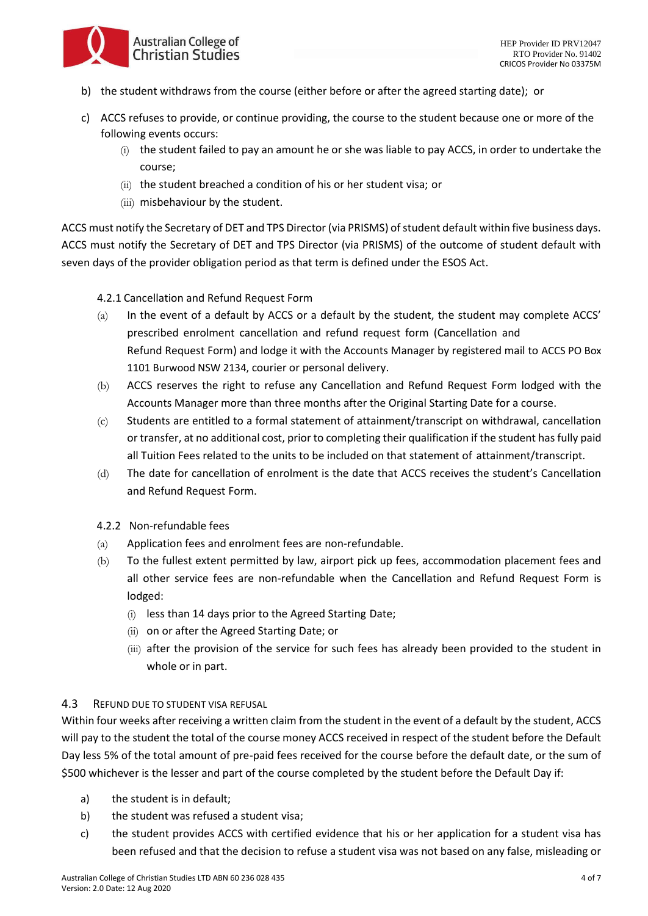

- b) the student withdraws from the course (either before or after the agreed starting date); or
- c) ACCS refuses to provide, or continue providing, the course to the student because one or more of the following events occurs:
	- $(i)$  the student failed to pay an amount he or she was liable to pay ACCS, in order to undertake the course;
	- (ii) the student breached a condition of his or her student visa; or
	- (iii) misbehaviour by the student.

ACCS must notify the Secretary of DET and TPS Director (via PRISMS) of student default within five business days. ACCS must notify the Secretary of DET and TPS Director (via PRISMS) of the outcome of student default with seven days of the provider obligation period as that term is defined under the ESOS Act.

4.2.1 Cancellation and Refund Request Form

- (a) In the event of a default by ACCS or a default by the student, the student may complete ACCS' prescribed enrolment cancellation and refund request form (Cancellation and Refund Request Form) and lodge it with the Accounts Manager by registered mail to ACCS PO Box 1101 Burwood NSW 2134, courier or personal delivery.
- (b) ACCS reserves the right to refuse any Cancellation and Refund Request Form lodged with the Accounts Manager more than three months after the Original Starting Date for a course.
- (c) Students are entitled to a formal statement of attainment/transcript on withdrawal, cancellation or transfer, at no additional cost, prior to completing their qualification if the student has fully paid all Tuition Fees related to the units to be included on that statement of attainment/transcript.
- (d) The date for cancellation of enrolment is the date that ACCS receives the student's Cancellation and Refund Request Form.
- 4.2.2 Non-refundable fees
- (a) Application fees and enrolment fees are non-refundable.
- (b) To the fullest extent permitted by law, airport pick up fees, accommodation placement fees and all other service fees are non-refundable when the Cancellation and Refund Request Form is lodged:
	- (i) less than 14 days prior to the Agreed Starting Date;
	- (ii) on or after the Agreed Starting Date; or
	- (iii) after the provision of the service for such fees has already been provided to the student in whole or in part.

#### 4.3 REFUND DUE TO STUDENT VISA REFUSAL

Within four weeks after receiving a written claim from the student in the event of a default by the student, ACCS will pay to the student the total of the course money ACCS received in respect of the student before the Default Day less 5% of the total amount of pre-paid fees received for the course before the default date, or the sum of \$500 whichever is the lesser and part of the course completed by the student before the Default Day if:

- a) the student is in default;
- b) the student was refused a student visa;
- c) the student provides ACCS with certified evidence that his or her application for a student visa has been refused and that the decision to refuse a student visa was not based on any false, misleading or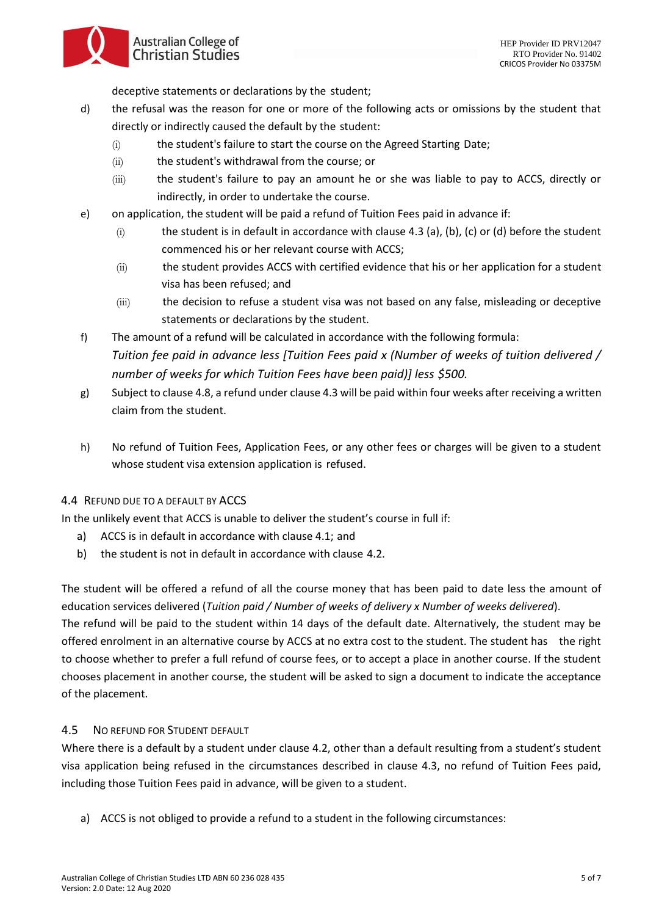Australian College of **Christian Studies** 

deceptive statements or declarations by the student;

- d) the refusal was the reason for one or more of the following acts or omissions by the student that directly or indirectly caused the default by the student:
	- (i) the student's failure to start the course on the Agreed Starting Date;
	- (ii) the student's withdrawal from the course; or
	- (iii) the student's failure to pay an amount he or she was liable to pay to ACCS, directly or indirectly, in order to undertake the course.
- e) on application, the student will be paid a refund of Tuition Fees paid in advance if:
	- (i) the student is in default in accordance with clause 4.3 (a), (b), (c) or (d) before the student commenced his or her relevant course with ACCS;
	- (ii) the student provides ACCS with certified evidence that his or her application for a student visa has been refused; and
	- (iii) the decision to refuse a student visa was not based on any false, misleading or deceptive statements or declarations by the student.
- f) The amount of a refund will be calculated in accordance with the following formula: *Tuition fee paid in advance less [Tuition Fees paid x (Number of weeks of tuition delivered / number of weeks for which Tuition Fees have been paid)] less \$500.*
- g) Subject to clause 4.8, a refund under clause 4.3 will be paid within four weeks after receiving a written claim from the student.
- h) No refund of Tuition Fees, Application Fees, or any other fees or charges will be given to a student whose student visa extension application is refused.

### 4.4 REFUND DUE TO A DEFAULT BY ACCS

In the unlikely event that ACCS is unable to deliver the student's course in full if:

- a) ACCS is in default in accordance with clause 4.1; and
- b) the student is not in default in accordance with clause 4.2.

The student will be offered a refund of all the course money that has been paid to date less the amount of education services delivered (*Tuition paid / Number of weeks of delivery x Number of weeks delivered*).

The refund will be paid to the student within 14 days of the default date. Alternatively, the student may be offered enrolment in an alternative course by ACCS at no extra cost to the student. The student has the right to choose whether to prefer a full refund of course fees, or to accept a place in another course. If the student chooses placement in another course, the student will be asked to sign a document to indicate the acceptance of the placement.

### 4.5 NO REFUND FOR STUDENT DEFAULT

Where there is a default by a student under clause 4.2, other than a default resulting from a student's student visa application being refused in the circumstances described in clause 4.3, no refund of Tuition Fees paid, including those Tuition Fees paid in advance, will be given to a student.

a) ACCS is not obliged to provide a refund to a student in the following circumstances: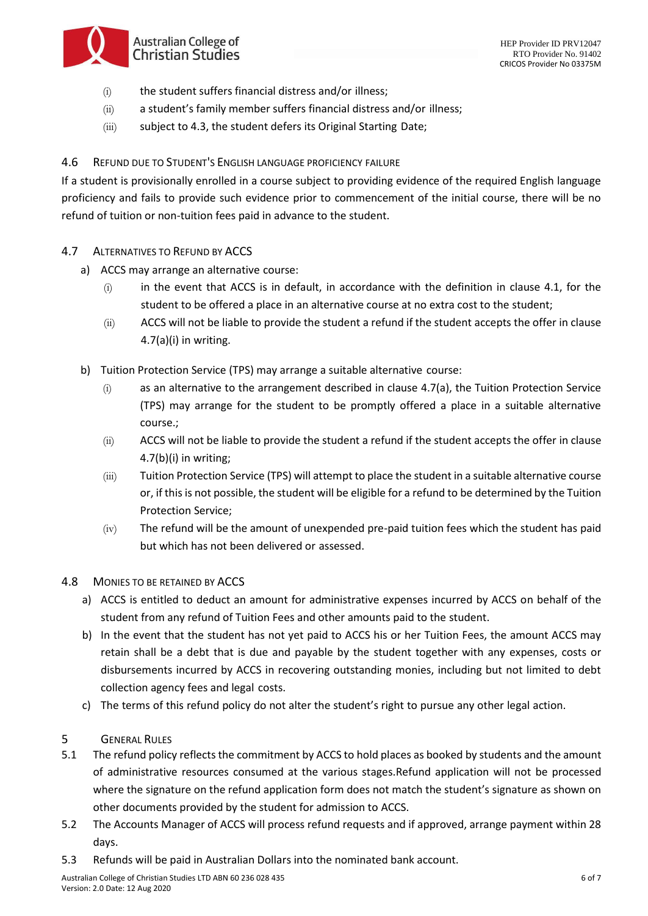- Australian College of **Christian Studies**
- (i) the student suffers financial distress and/or illness;
- (ii) a student's family member suffers financial distress and/or illness;
- (iii) subject to 4.3, the student defers its Original Starting Date;

### 4.6 REFUND DUE TO STUDENT'S ENGLISH LANGUAGE PROFICIENCY FAILURE

If a student is provisionally enrolled in a course subject to providing evidence of the required English language proficiency and fails to provide such evidence prior to commencement of the initial course, there will be no refund of tuition or non-tuition fees paid in advance to the student.

- 4.7 ALTERNATIVES TO REFUND BY ACCS
	- a) ACCS may arrange an alternative course:
		- (i) in the event that ACCS is in default, in accordance with the definition in clause 4.1, for the student to be offered a place in an alternative course at no extra cost to the student;
		- (ii) ACCS will not be liable to provide the student a refund if the student accepts the offer in clause  $4.7(a)(i)$  in writing.
	- b) Tuition Protection Service (TPS) may arrange a suitable alternative course:
		- (i) as an alternative to the arrangement described in clause 4.7(a), the Tuition Protection Service (TPS) may arrange for the student to be promptly offered a place in a suitable alternative course.;
		- (ii) ACCS will not be liable to provide the student a refund if the student accepts the offer in clause 4.7(b)(i) in writing;
		- (iii) Tuition Protection Service (TPS) will attempt to place the student in a suitable alternative course or, if this is not possible, the student will be eligible for a refund to be determined by the Tuition Protection Service;
		- (iv) The refund will be the amount of unexpended pre-paid tuition fees which the student has paid but which has not been delivered or assessed.

### 4.8 MONIES TO BE RETAINED BY ACCS

- a) ACCS is entitled to deduct an amount for administrative expenses incurred by ACCS on behalf of the student from any refund of Tuition Fees and other amounts paid to the student.
- b) In the event that the student has not yet paid to ACCS his or her Tuition Fees, the amount ACCS may retain shall be a debt that is due and payable by the student together with any expenses, costs or disbursements incurred by ACCS in recovering outstanding monies, including but not limited to debt collection agency fees and legal costs.
- c) The terms of this refund policy do not alter the student's right to pursue any other legal action.
- 5 GENERAL RULES
- 5.1 The refund policy reflects the commitment by ACCS to hold places as booked by students and the amount of administrative resources consumed at the various stages.Refund application will not be processed where the signature on the refund application form does not match the student's signature as shown on other documents provided by the student for admission to ACCS.
- 5.2 The Accounts Manager of ACCS will process refund requests and if approved, arrange payment within 28 days.
- 5.3 Refunds will be paid in Australian Dollars into the nominated bank account.